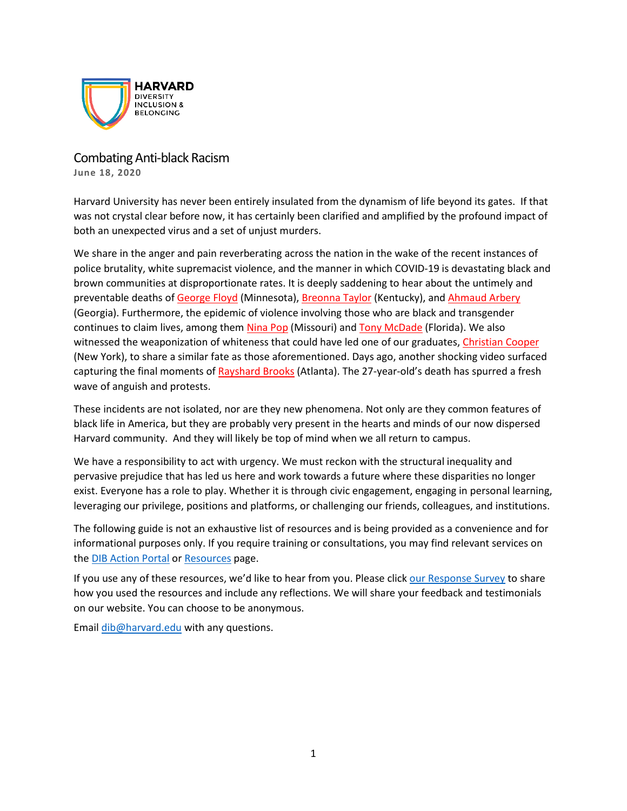

Combating Anti-black Racism **June 18, 2020**

Harvard University has never been entirely insulated from the dynamism of life beyond its gates. If that was not crystal clear before now, it has certainly been clarified and amplified by the profound impact of both an unexpected virus and a set of unjust murders.

We share in the anger and pain reverberating across the nation in the wake of the recent instances of police brutality, white supremacist violence, and the manner in which COVID-19 is devastating black and brown communities at disproportionate rates. It is deeply saddening to hear about the untimely and preventable deaths of [George](https://www.nytimes.com/2020/05/31/us/george-floyd-investigation.html) Floyd (Minnesota)[, Breonna Taylor](https://www.nytimes.com/article/breonna-taylor-police.html) (Kentucky), an[d Ahmaud Arbery](https://www.nytimes.com/article/ahmaud-arbery-shooting-georgia.html) (Georgia). Furthermore, the epidemic of violence involving those who are black and transgender continues to claim lives, among them [Nina Pop](https://www.hrc.org/blog/hrc-mourns-nina-pop-black-transgender-woman-killed-in-missouri) (Missouri) and [Tony McDade](https://www.hrc.org/blog/hrc-mourns-tony-mcdade-black-transgender-man-killed-in-florida) (Florida). We also witnessed the weaponization of whiteness that could have led one of our graduates, [Christian Cooper](https://www.washingtonpost.com/) (New York), to share a similar fate as those aforementioned. Days ago, another shocking video surfaced capturing the final moments of [Rayshard Brooks](https://www.cnn.com/2020/06/14/us/rayshard-brooks-atlanta-shooting/index.html) (Atlanta). The 27-year-old's death has spurred a fresh wave of anguish and protests.

These incidents are not isolated, nor are they new phenomena. Not only are they common features of black life in America, but they are probably very present in the hearts and minds of our now dispersed Harvard community. And they will likely be top of mind when we all return to campus.

We have a responsibility to act with urgency. We must reckon with the structural inequality and pervasive prejudice that has led us here and work towards a future where these disparities no longer exist. Everyone has a role to play. Whether it is through civic engagement, engaging in personal learning, leveraging our privilege, positions and platforms, or challenging our friends, colleagues, and institutions.

The following guide is not an exhaustive list of resources and is being provided as a convenience and for informational purposes only. If you require training or consultations, you may find relevant services on the [DIB Action Portal](https://dib.harvard.edu/search/site/training) or [Resources](https://dib.harvard.edu/resources) page.

If you use any of these resources, we'd like to hear from you. Please click our [Response Survey](https://harvard.az1.qualtrics.com/jfe/form/SV_ezJvnTRJPOdIbKB) to share how you used the resources and include any reflections. We will share your feedback and testimonials on our website. You can choose to be anonymous.

Email [dib@harvard.edu](mailto:dib@harvard.edu) with any questions.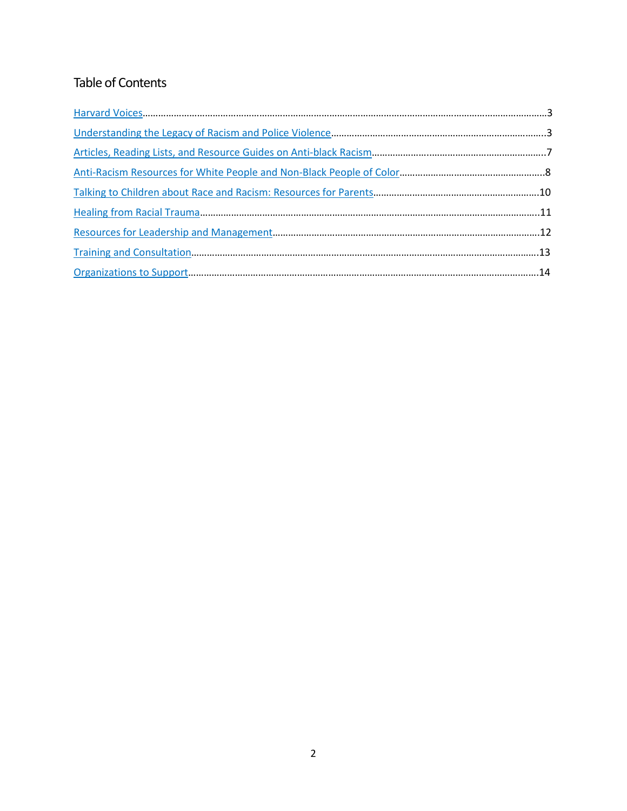# Table of Contents

<span id="page-1-0"></span>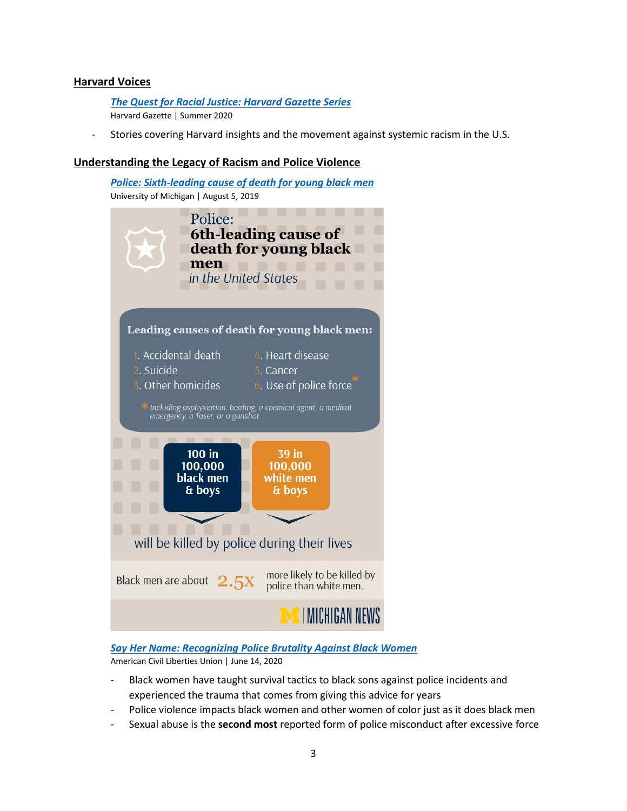# **Harvard Voices**

*[The Quest for Racial Justice: Harvard Gazette Series](https://news.harvard.edu/gazette/story/series/the-quest-for-racial-justice/?utm_source=SilverpopMailing&utm_medium=email&utm_campaign=Daily%20Gazette%2020200615%20(1))* Harvard Gazette | Summer 2020

Stories covering Harvard insights and the movement against systemic racism in the U.S.

## <span id="page-2-0"></span>**Understanding the Legacy of Racism and Police Violence**

*[Police: Sixth-leading cause of death for young black men](https://news.umich.edu/police-sixth-leading-cause-of-death-for-young-black-men/)* University of Michigan | August 5, 2019 Police: **6th-leading cause of** death for young black men in the United States Leading causes of death for young black men: 1. Accidental death 4. Heart disease 2. Suicide 5. Cancer 3. Other homicides 6. Use of police force Including asphyxiation, beating, a chemical agent, a medical<br>emergency, a Taser, or a gunshot  $100$  in 39 in 100,000 100,000 black men white men & boys & boys will be killed by police during their lives more likely to be killed by Black men are about  $2.5x$ police than white men. I MICHIGAN NEWS

## *[Say Her Name: Recognizing Police Brutality Against Black Women](https://www.aclu.org/blog/criminal-law-reform/reforming-police/say-her-name-recognizing-police-brutality-against-black)*

American Civil Liberties Union | June 14, 2020

- Black women have taught survival tactics to black sons against police incidents and experienced the trauma that comes from giving this advice for years
- Police violence impacts black women and other women of color just as it does black men
- Sexual abuse is the **second most** reported form of police misconduct after excessive force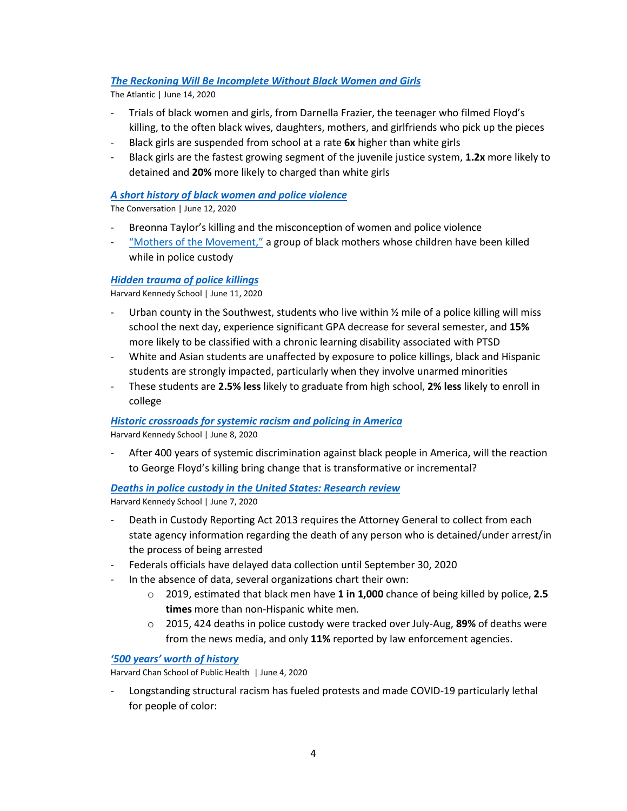# *[The Reckoning Will Be Incomplete Without Black Women and Girls](https://www.theatlantic.com/ideas/archive/2020/06/revolution-will-be-incomplete-without-black-women-and-girls/613045/)*

The Atlantic | June 14, 2020

- Trials of black women and girls, from Darnella Frazier, the teenager who filmed Floyd's killing, to the often black wives, daughters, mothers, and girlfriends who pick up the pieces
- Black girls are suspended from school at a rate **6x** higher than white girls
- Black girls are the fastest growing segment of the juvenile justice system, **1.2x** more likely to detained and **20%** more likely to charged than white girls

## *[A short history of black women and police violence](https://theconversation.com/a-short-history-of-black-women-and-police-violence-139937)*

The Conversation | June 12, 2020

- Breonna Taylor's killing and the misconception of women and police violence
- ["Mothers of the Movement,"](https://www.elle.com/culture/career-politics/news/a38111/who-are-mothers-of-the-movement-dnc/) a group of black mothers whose children have been killed while in police custody

## *[Hidden trauma of police killings](https://www.hks.harvard.edu/faculty-research/policy-topics/gender-race-identity/hidden-trauma-police-killings?utm_source=SilverpopMailing&utm_medium=email&utm_campaign=Daily%20Gazette%2020200615%20(1))*

Harvard Kennedy School | June 11, 2020

- Urban county in the Southwest, students who live within  $\frac{1}{2}$  mile of a police killing will miss school the next day, experience significant GPA decrease for several semester, and **15%** more likely to be classified with a chronic learning disability associated with PTSD
- White and Asian students are unaffected by exposure to police killings, black and Hispanic students are strongly impacted, particularly when they involve unarmed minorities
- These students are **2.5% less** likely to graduate from high school, **2% less** likely to enroll in college

#### *[Historic crossroads for systemic racism and policing in America](https://www.hks.harvard.edu/more/policycast/historic-crossroads-systemic-racism-and-policing-america?utm_source=SilverpopMailing&utm_medium=email&utm_campaign=Daily%20Gazette%2020200615%20(1))*

Harvard Kennedy School | June 8, 2020

- After 400 years of systemic discrimination against black people in America, will the reaction to George Floyd's killing bring change that is transformative or incremental?

## *[Deaths in police custody in the United States: Research review](https://journalistsresource.org/studies/government/criminal-justice/deaths-police-custody-united-states/)*

Harvard Kennedy School | June 7, 2020

- Death in Custody Reporting Act 2013 requires the Attorney General to collect from each state agency information regarding the death of any person who is detained/under arrest/in the process of being arrested
- Federals officials have delayed data collection until September 30, 2020
- In the absence of data, several organizations chart their own:
	- o 2019, estimated that black men have **1 in 1,000** chance of being killed by police, **2.5 times** more than non-Hispanic white men.
	- o 2015, 424 deaths in police custody were tracked over July-Aug, **89%** of deaths were from the news media, and only **11%** reported by law enforcement agencies.

## *['500 years' worth of history](https://www.hsph.harvard.edu/news/features/nancy-krieger-qa-george-floyd-covid/?utm_medium=email&utm_campaign=update-June-2020&utm_source=newsletter)*

Harvard Chan School of Public Health | June 4, 2020

- Longstanding structural racism has fueled protests and made COVID-19 particularly lethal for people of color: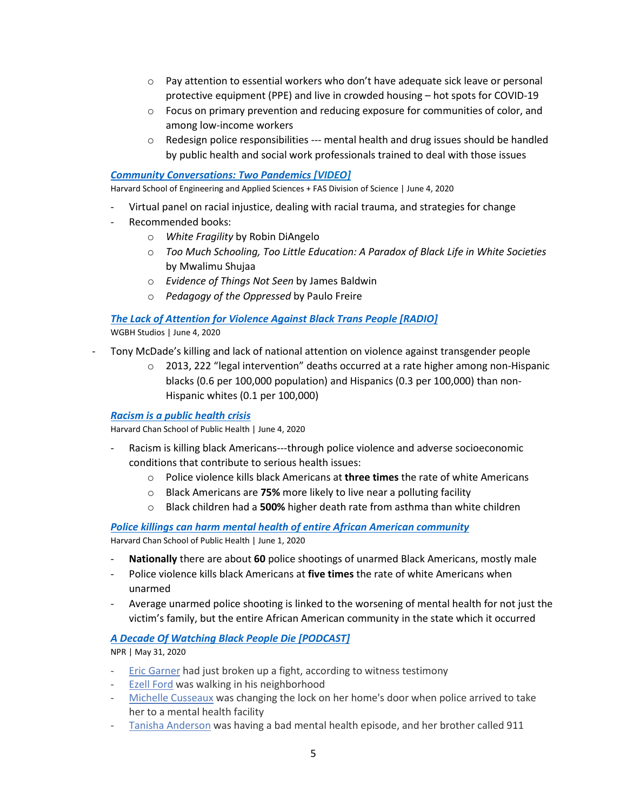- $\circ$  Pay attention to essential workers who don't have adequate sick leave or personal protective equipment (PPE) and live in crowded housing – hot spots for COVID-19
- o Focus on primary prevention and reducing exposure for communities of color, and among low-income workers
- $\circ$  Redesign police responsibilities --- mental health and drug issues should be handled by public health and social work professionals trained to deal with those issues

## *[Community Conversations: Two Pandemics](https://www.youtube.com/watch?v=dD-bcK-lxH4) [VIDEO]*

Harvard School of Engineering and Applied Sciences + FAS Division of Science | June 4, 2020

- Virtual panel on racial injustice, dealing with racial trauma, and strategies for change
- Recommended books:
	- o *White Fragility* by Robin DiAngelo
	- o *Too Much Schooling, Too Little Education: A Paradox of Black Life in White Societies*  by Mwalimu Shujaa
	- o *Evidence of Things Not Seen* by James Baldwin
	- o *Pedagogy of the Oppressed* by Paulo Freire

# *[The Lack of Attention for Violence Against Black Trans People](https://www.wnycstudios.org/podcasts/takeaway/segments/tony-mcdade-violence-against-black-trans-people) [RADIO]*

WGBH Studios | June 4, 2020

- Tony McDade's killing and lack of national attention on violence against transgender people
	- $\circ$  2013, 222 "legal intervention" deaths occurred at a rate higher among non-Hispanic blacks (0.6 per 100,000 population) and Hispanics (0.3 per 100,000) than non-Hispanic whites (0.1 per 100,000)

## *[Racism is a public health crisis](https://www.washingtonpost.com/opinions/racism-is-killing-black-people-its-sickening-them-too/2020/06/04/fe004cc8-a681-11ea-b619-3f9133bbb482_story.html)*

Harvard Chan School of Public Health | June 4, 2020

- Racism is killing black Americans---through police violence and adverse socioeconomic conditions that contribute to serious health issues:
	- o Police violence kills black Americans at **three times** the rate of white Americans
	- o Black Americans are **75%** more likely to live near a polluting facility
	- o Black children had a **500%** higher death rate from asthma than white children

*[Police killings can harm mental health of entire African American community](https://www.cnn.com/videos/us/2020/06/01/david-williams-police-killings-study-tapper-lead-sot-vpx.cnn)* Harvard Chan School of Public Health | June 1, 2020

- **Nationally** there are about **60** police shootings of unarmed Black Americans, mostly male
- Police violence kills black Americans at **five times** the rate of white Americans when unarmed
- Average unarmed police shooting is linked to the worsening of mental health for not just the victim's family, but the entire African American community in the state which it occurred

## *[A Decade Of Watching Black People Die](https://www.npr.org/2020/05/29/865261916/a-decade-of-watching-black-people-die) [PODCAST]*

NPR | May 31, 2020

- Eric [Garner](https://www.washingtonpost.com/national/i-cant-breathe-five-years-after-eric-garner-died-in-struggle-with-new-york-police-resolution-still-elusive/2019/06/13/23d7fad8-78f5-11e9-bd25-c989555e7766_story.html) had just broken up a fight, according to witness testimony
- Ezell [Ford](http://america.aljazeera.com/watch/shows/america-tonight/articles/2014/8/21/ezell-forda-s-communityasksisthereawaragainstblackmen.html) was walking in his neighborhood
- Michelle [Cusseaux](https://docs.house.gov/meetings/JU/JU00/20160712/105175/HHRG-114-JU00-20160712-SD004.pdf) was changing the lock on her home's door when police arrived to take her to a mental health facility
- Tanisha [Anderson](https://www.theguardian.com/us-news/2015/jun/05/black-women-police-killing-tanisha-anderson) was having a bad mental health episode, and her brother called 911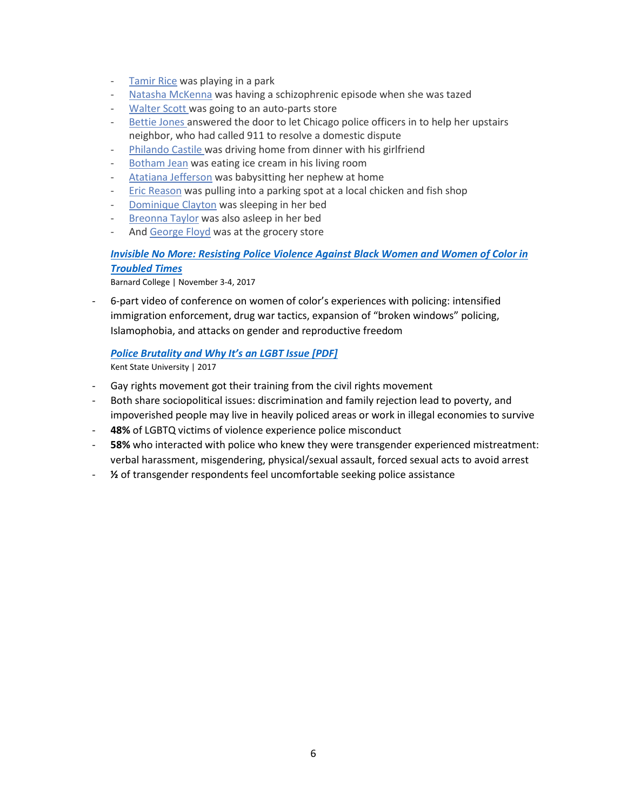- [Tamir](https://www.cleveland.com/metro/2015/03/tamir_rices_mother_grandmother.html) Rice was playing in a park
- Natasha [McKenna](https://www.washingtonpost.com/local/crime/prosecutor-will-not-pursue-charges-in-death-of-mentally-ill-inmate-in-va/2015/09/08/ff2ecf7a-564f-11e5-b8c9-944725fcd3b9_story.html) was having a schizophrenic episode when she was tazed
- [Walter](https://www.nytimes.com/2015/04/12/us/walter-scott-funeral-police-shooting.html?smid=pl-share) Scott was going to an auto-parts store
- [Bettie](https://chicago.suntimes.com/2019/7/10/20689504/bettie-jones-daughter-runs-from-court-in-tears-after-seeing-photo-of-shooting-scene) Jones answered the door to let Chicago police officers in to help her upstairs neighbor, who had called 911 to resolve a domestic dispute
- [Philando](https://www.npr.org/2016/07/08/485204891/profile-philando-castile) Castile was driving home from dinner with his girlfriend
- [Botham](https://www.cbsnews.com/news/amber-guyger-trial-bodycam-played-in-court-shows-moments-after-cop-fatally-shot-neighbor-botham-jean-2019-09-24/) Jean was eating ice cream in his living room
- Atatiana [Jefferson](https://www.nbcnews.com/news/us-news/fort-worth-police-officer-who-fatally-shot-atatiana-jefferson-indicted-n1105916) was babysitting her nephew at home
- Eric [Reason](https://www.mercurynews.com/2020/01/21/vallejo-releases-video-of-off-duty-richmond-cop-fatally-shooting-man-during-argument-over-parking-space/) was pulling into a parking spot at a local chicken and fish shop
- [Dominique](https://rvamag.com/politics/seeking-justice-for-dominique-clayton.html) Clayton was sleeping in her bed
- [Breonna](https://www.washingtonpost.com/nation/2020/05/11/family-seeks-answers-fatal-police-shooting-louisville-woman-her-apartment/) Taylor was also asleep in her bed
- And [George](https://www.ajc.com/news/victim-police-encounter-had-started-new-life-minnesota/rMmT2wipeQFNnsypmh6oBL/) Floyd was at the grocery store

# <span id="page-5-0"></span>*[Invisible No More: Resisting Police Violence Against Black Women and Women of Color in](https://bcrw.barnard.edu/event/invisible-no-more-resisting-police-violence-against-black-women-and-women-of-color-in-troubled-times/)  [Troubled Times](https://bcrw.barnard.edu/event/invisible-no-more-resisting-police-violence-against-black-women-and-women-of-color-in-troubled-times/)*

Barnard College | November 3-4, 2017

- 6-part video of conference on women of color's experiences with policing: intensified immigration enforcement, drug war tactics, expansion of "broken windows" policing, Islamophobia, and attacks on gender and reproductive freedom

# *[Police Brutality and Why It's an LGBT Issue](https://www.kent.edu/sites/default/files/file/Police_Brutality.pdf) [PDF]*

Kent State University | 2017

- Gay rights movement got their training from the civil rights movement
- Both share sociopolitical issues: discrimination and family rejection lead to poverty, and impoverished people may live in heavily policed areas or work in illegal economies to survive
- **48%** of LGBTQ victims of violence experience police misconduct
- **58%** who interacted with police who knew they were transgender experienced mistreatment: verbal harassment, misgendering, physical/sexual assault, forced sexual acts to avoid arrest
- **½** of transgender respondents feel uncomfortable seeking police assistance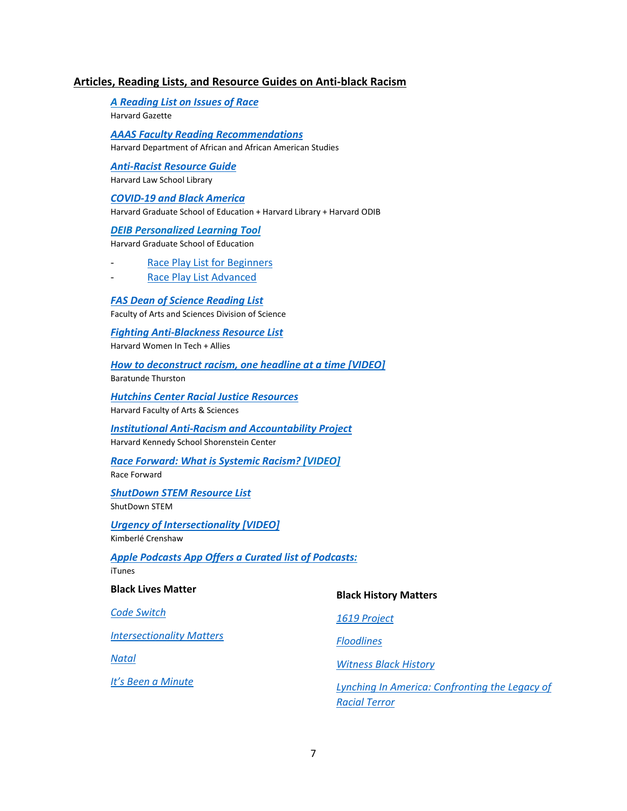## **Articles, Reading Lists, and Resource Guides on Anti-black Racism**

*A [Reading List on Issues of Race](https://news.harvard.edu/gazette/story/2020/06/a-reading-list-on-issues-of-race/?utm_source=SilverpopMailing&utm_medium=email&utm_campaign=Daily%2520Gazette%252020200616%2520%281%29)* Harvard Gazette

*[AAAS Faculty Reading Recommendations](https://aaas.fas.harvard.edu/2020-faculty-reading-recommendations)* Harvard Department of African and African American Studies

*[Anti-Racist Resource Guide](https://dib.harvard.edu/files/dib/files/hlsl_dib_anti-racist_resource_guide.pdf)* Harvard Law School Library

# *[COVID-19 and Black America](https://guides.library.harvard.edu/BlackCovid/contribute)*

Harvard Graduate School of Education + Harvard Library + Harvard ODIB

#### *DEIB Personalized Learning Tool*

Harvard Graduate School of Education

[Race Play List for Beginners](https://dib.harvard.edu/files/dib/files/7-week_playlist_-_race_general_beginner.pdf)

- [Race Play List Advanced](https://dib.harvard.edu/files/dib/files/7-week_playlist_-_race_general_advanced.pdf)

## *[FAS Dean of Science Reading List](https://urldefense.proofpoint.com/v2/url?u=https-3A__harvard.us7.list-2Dmanage.com_track_click-3Fu-3Dce6e92a15d9300418c1cb9dc1-26id-3Dcc8186c14b-26e-3De903736143&d=DwMFaQ&c=WO-RGvefibhHBZq3fL85hQ&r=eweSPAzFEEaKocdxoWHnVVoCZXt9YxCL7JW1e0cV3jE&m=QdXPYulPKpF6K2KCbuVxRQkcPwTVSqjCBN9v2CF_hCA&s=rShFyLElkgPKENoyeMemGsyPCqPt7QQKikm_3clFk4Q&e=)*

Faculty of Arts and Sciences Division of Science

#### *[Fighting Anti-Blackness Resource List](https://wit.abcd.harvard.edu/fighting-anti-blackness-harvardwit-resource-list)*

Harvard Women In Tech + Allies

#### *[How to deconstruct racism, one headline at a time](https://www.youtube.com/watch?v=RZgkjEdMbSw) [VIDEO]* Baratunde Thurston

*[Hutchins Center Racial Justice Resources](https://hutchinscenter.fas.harvard.edu/floyd-responses-resources)*

Harvard Faculty of Arts & Sciences

#### *[Institutional Anti-Racism and Accountability Project](https://shorensteincenter.org/wp-content/uploads/2020/06/Race-and-Anti-Racism-Resource-List-IARA-May-2020.pdf)* Harvard Kennedy School Shorenstein Center

#### *[Race Forward: What is Systemic Racism?](https://www.raceforward.org/videos/systemic-racism) [VIDEO]*

Race Forward

#### *[ShutDown STEM Resource List](https://www.shutdownstem.com/resources)* ShutDown STEM

*[Urgency of Intersectionality \[VIDEO\]](https://www.youtube.com/watch?v=akOe5-UsQ2o&t=147s)*

Kimberlé Crenshaw

#### <span id="page-6-0"></span>*Apple Podcasts App Offers a Curated list of Podcasts:* iTunes

**Black Lives Matter**

*[Code Switch](https://www.npr.org/sections/codeswitch/)*

*[Intersectionality Matters](https://podcasts.apple.com/us/podcast/intersectionality-matters/id1441348908)*

*[Natal](https://podcasts.apple.com/us/podcast/natal/id1508013775)*

*[It's Been a Minute](https://www.npr.org/podcasts/510317/its-been-a-minute-with-sam-sanders)*

#### **Black History Matters**

*[1619 Project](https://podcasts.apple.com/us/podcast/1619/id1476928106)*

*[Floodlines](https://podcasts.apple.com/us/podcast/floodlines/id1501433969)*

*[Witness Black History](https://podcasts.apple.com/us/podcast/witness-history-witness-black-history/id721125504)*

*[Lynching In America: Confronting the Legacy of](https://podcasts.apple.com/us/podcast/lynching-in-america-podcast/id1244297911)  [Racial Terror](https://podcasts.apple.com/us/podcast/lynching-in-america-podcast/id1244297911)*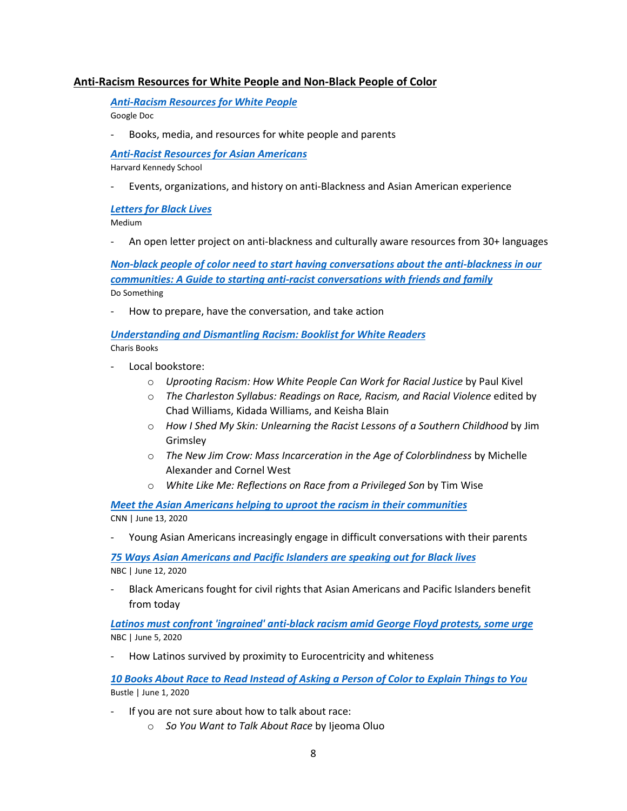# **Anti-Racism Resources for White People and Non-Black People of Color**

*[Anti-Racism Resources for White People](https://docs.google.com/document/u/0/d/1BRlF2_zhNe86SGgHa6-VlBO-QgirITwCTugSfKie5Fs/mobilebasic?fbclid=IwAR1MjRnIk6lVopiAfcVOhBCgWwOgMRQ-sY67T8Y8xJ4JY_zWWXPCzO_k0W8)*  Google Doc

Books, media, and resources for white people and parents

*[Anti-Racist Resources for Asian Americans](https://docs.google.com/document/d/1FuUbVNesdSCnK6M4iAWWMWCDsSVgfPKt8RuPvFh3-mg/edit?usp=sharing)*

Harvard Kennedy School

- Events, organizations, and history on anti-Blackness and Asian American experience

## *[Letters for Black Lives](https://lettersforblacklives.com/)*

Medium

- An open letter project on anti-blackness and culturally aware resources from 30+ languages

*[Non-black people of color need to start having conversations about the anti-blackness in our](https://www.dosomething.org/us/articles/our-role-as-non-black-people-of-color-in-disrupting-racism)  [communities: A Guide to starting anti-racist](https://www.dosomething.org/us/articles/our-role-as-non-black-people-of-color-in-disrupting-racism) conversations with friends and family* Do Something

- How to prepare, have the conversation, and take action

*[Understanding and Dismantling Racism: Booklist for White Readers](https://www.charisbooksandmore.com/understanding-and-dismantling-racism-booklist-white-readers)* Charis Books

- Local bookstore:
	- o *Uprooting Racism: How White People Can Work for Racial Justice* by Paul Kivel
	- o *The Charleston Syllabus: Readings on Race, Racism, and Racial Violence* edited by Chad Williams, Kidada Williams, and Keisha Blain
	- o *How I Shed My Skin: Unlearning the Racist Lessons of a Southern Childhood* by Jim Grimsley
	- o *The New Jim Crow: Mass Incarceration in the Age of Colorblindness* by Michelle Alexander and Cornel West
	- o *White Like Me: Reflections on Race from a Privileged Son* by Tim Wise

*Meet the Asian [Americans helping to uproot the racism in their communities](https://www.cnn.com/2020/06/13/us/asian-americans-blm-conversations-trnd/index.html)* CNN | June 13, 2020

- Young Asian Americans increasingly engage in difficult conversations with their parents

*[75 Ways Asian Americans and Pacific Islanders are speaking out for Black lives](https://www.nbcnews.com/news/asian-america/75-ways-asian-americans-pacific-islanders-are-speaking-out-black-n1230551)* NBC | June 12, 2020

- Black Americans fought for civil rights that Asian Americans and Pacific Islanders benefit from today

*[Latinos must confront 'ingrained' anti-black racism amid George Floyd protests, some urge](https://www.nbcnews.com/news/latino/latinos-must-confront-ingrained-anti-black-racism-amid-george-floyd-n1223696)* NBC | June 5, 2020

How Latinos survived by proximity to Eurocentricity and whiteness

*[10 Books About Race to Read Instead of Asking a Person of Color](https://www.bustle.com/p/10-books-about-race-to-read-instead-of-asking-a-person-of-color-to-explain-things-to-you-8548796) to Explain Things to You* Bustle | June 1, 2020

- If you are not sure about how to talk about race:
	- o *So You Want to Talk About Race* by Ijeoma Oluo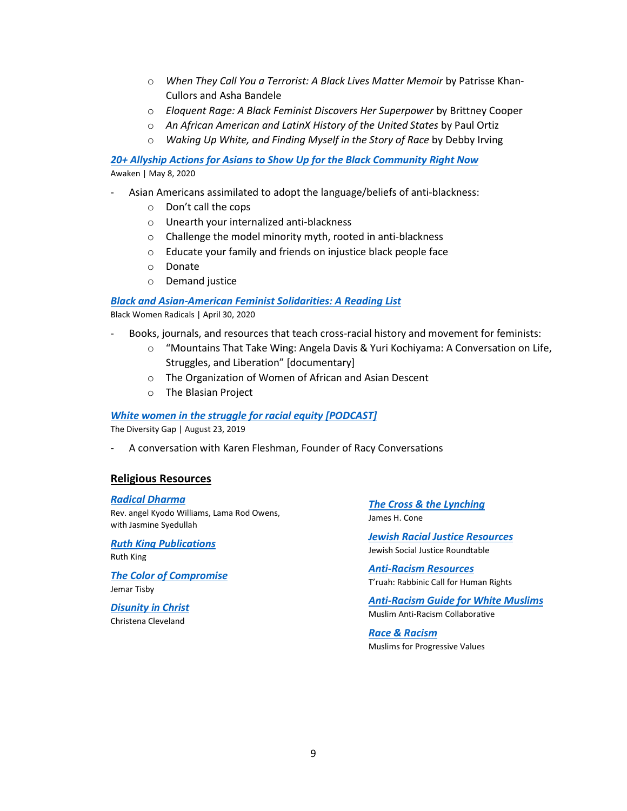- o *When They Call You a Terrorist: A Black Lives Matter Memoir* by Patrisse Khan-Cullors and Asha Bandele
- o *Eloquent Rage: A Black Feminist Discovers Her Superpower* by Brittney Cooper
- o *An African American and LatinX History of the United States* by Paul Ortiz
- o *Waking Up White, and Finding Myself in the Story of Race* by Debby Irving

*[20+ Allyship Actions for Asians to Show Up for the Black Community Right Now](https://medium.com/awaken-blog/20-allyship-actions-for-asians-to-show-up-for-the-black-community-right-now-464e5689cf3e)* Awaken | May 8, 2020

- Asian Americans assimilated to adopt the language/beliefs of anti-blackness:
	- o Don't call the cops
	- o Unearth your internalized anti-blackness
	- o Challenge the model minority myth, rooted in anti-blackness
	- o Educate your family and friends on injustice black people face
	- o Donate
	- o Demand justice

#### *[Black and Asian-American Feminist Solidarities: A Reading List](https://www.blackwomenradicals.com/blog-feed/black-and-asian-feminist-solidarities-a-reading-list)*

Black Women Radicals | April 30, 2020

- Books, journals, and resources that teach cross-racial history and movement for feminists:
	- o "Mountains That Take Wing: Angela Davis & Yuri Kochiyama: A Conversation on Life, Struggles, and Liberation" [documentary]
	- o The Organization of Women of African and Asian Descent
	- o The Blasian Project

#### *[White women in the struggle for racial equity \[PODCAST\]](https://www.thediversitygap.com/podcast-1/white-women-in-the-struggle-for-racial-equity)*

The Diversity Gap | August 23, 2019

- A conversation with Karen Fleshman, Founder of Racy Conversations

## **Religious Resources**

*[Radical Dharma](https://radicaldharma.org/)* Rev. angel Kyodo Williams, Lama Rod Owens, with Jasmine Syedullah

*[Ruth King Publications](https://ruthking.net/)* Ruth King

*[The Color of Compromise](https://www.thecolorofcompromise.com/)* Jemar Tisby

*[Disunity in Christ](https://www.ivpress.com/disunity-in-christ)* Christena Cleveland

<span id="page-8-0"></span>*[The Cross & the Lynching](https://www.orbisbooks.com/the-cross-and-the-lynching-tree.html)* James H. Cone

*[Jewish Racial Justice Resources](https://jewishsocialjustice.org/jewish-racial-justice-resources)* Jewish Social Justice Roundtable

*[Anti-Racism Resources](https://www.truah.org/resources/anti-racism-resources/)* T'ruah: Rabbinic Call for Human Rights

*[Anti-Racism Guide for White Muslims](http://www.muslimarc.org/)* Muslim Anti-Racism Collaborative

*[Race & Racism](https://www.mpvusa.org/race-racism-1)* Muslims for Progressive Values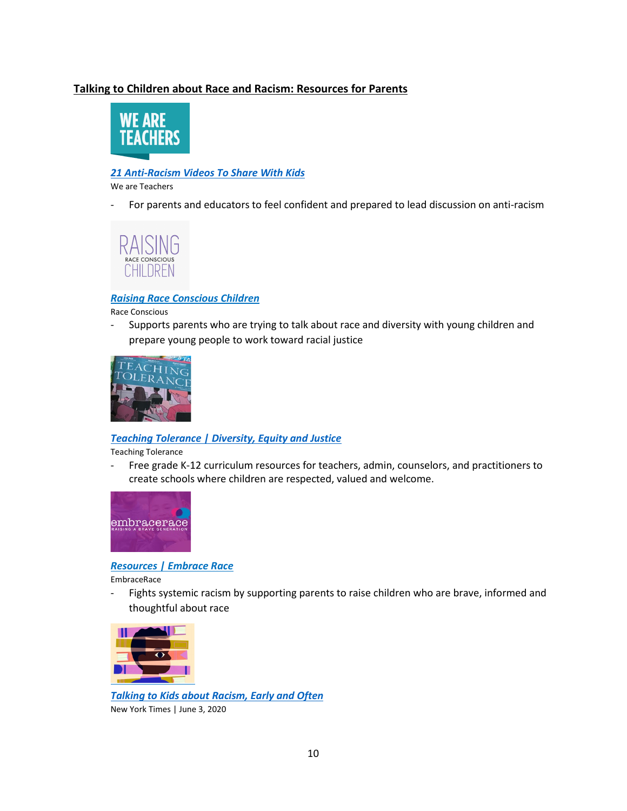# **Talking to Children about Race and Racism: Resources for Parents**



# *[21 Anti-Racism Videos To Share With Kids](https://www.weareteachers.com/anti-racism-videos/)*

We are Teachers

For parents and educators to feel confident and prepared to lead discussion on anti-racism



## *[Raising Race Conscious Children](http://www.raceconscious.org/?fbclid=IwAR1qX0X07w16XxSlxqK-7tXap54FmAYJtXDP4DkVpXbAAimNaAvpwOV8ooE)*

Race Conscious

- Supports parents who are trying to talk about race and diversity with young children and prepare young people to work toward racial justice



## *[Teaching Tolerance | Diversity, Equity and Justice](https://www.tolerance.org/moment/racism-and-police-violence)*

Teaching Tolerance

- Free grade K-12 curriculum resources for teachers, admin, counselors, and practitioners to create schools where children are respected, valued and welcome.



#### *[Resources | Embrace](https://www.embracerace.org/resources) Race*

EmbraceRace

- Fights systemic racism by supporting parents to raise children who are brave, informed and thoughtful about race



*[Talking to Kids about Racism, Early and Often](https://www.nytimes.com/2020/06/03/parenting/kids-books-racism.html)*  New York Times | June 3, 2020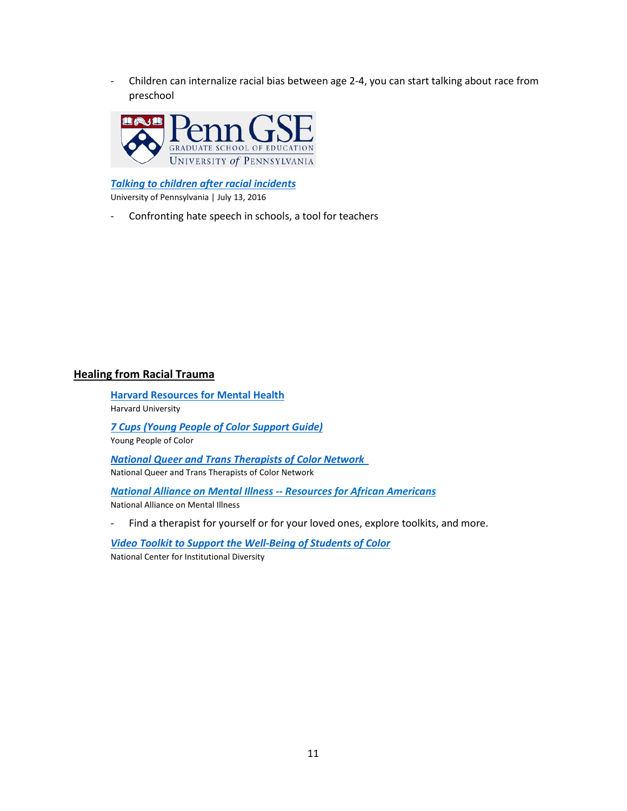- Children can internalize racial bias between age 2-4, you can start talking about race from preschool



*[Talking to children after racial incidents](https://www.gse.upenn.edu/news/talking-children-after-racial-incidents?fbclid=IwAR1DQfbbLuBgcOkYbBmDtYhnARBEzLOlhFUaTgTtvpj_TqmRpv_xB4hvtSY)* University of Pennsylvania | July 13, 2016

<span id="page-10-0"></span>- Confronting hate speech in schools, a tool for teachers

# **Healing from Racial Trauma**

**[Harvard Resources for Mental Health](https://dib.harvard.edu/files/dib/files/harvard_resource_for_mental_health.docx)** Harvard University *[7 Cups \(Young People of Color Support Guide\)](https://www.7cups.com/ypoc-guide/)*

Young People of Color

*[National Queer and Trans Therapists of Color Network](https://www.nqttcn.com/)*  National Queer and Trans Therapists of Color Network

*[National Alliance on Mental Illness --](https://www.nami.org/About-NAMI/NAMI-News/2020/NAMI-s-Statement-On-Recent-Racist-Incidents-and-Mental-Health-Resources-for-African-Americans) Resources for African Americans* National Alliance on Mental Illness

- Find a therapist for yourself or for your loved ones, explore toolkits, and more.

*[Video Toolkit to Support the Well-Being of Students of Color](https://medium.com/national-center-for-institutional-diversity/young-gifted-risk-and-resilient-4bc84efca3c6)* National Center for Institutional Diversity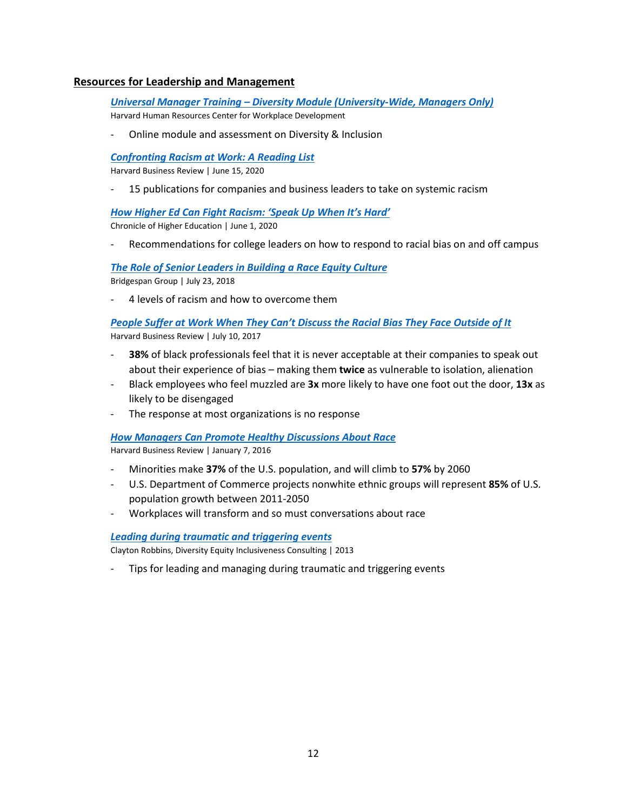# <span id="page-11-0"></span>**Resources for Leadership and Management**

*Universal Manager Training – [Diversity Module \(University-Wide, Managers Only\)](https://trainingportal.harvard.edu/Saba/Web_spf/NA1PRD0068/common/leclassview/dowbt000000000003283)* Harvard Human Resources Center for Workplace Development

- Online module and assessment on Diversity & Inclusion

#### *[Confronting Racism at Work: A Reading List](https://hbr.org/2020/06/confronting-racism-at-work-a-reading-list?utm_medium=email&utm_source=newsletter_daily&utm_campaign=dailyalert_activesubs&deliveryName=DM84344)*

Harvard Business Review | June 15, 2020

- 15 publications for companies and business leaders to take on systemic racism

*[How Higher Ed Can Fight Racism: 'Speak Up When It's Hard'](https://www.chronicle.com/article/How-Higher-Ed-Can-Fight/248897)*

Chronicle of Higher Education | June 1, 2020

Recommendations for college leaders on how to respond to racial bias on and off campus

*[The Role of Senior Leaders in Building a Race Equity Culture](https://www.bridgespan.org/insights/library/organizational-effectiveness/senior-leaders-role-in-building-race-equity)* Bridgespan Group | July 23, 2018

4 levels of racism and how to overcome them

## *[People Suffer at Work When They Can't Discuss the Racial Bias They Face Outside of It](https://hbr.org/2017/07/people-suffer-at-work-when-they-cant-discuss-the-racial-bias-they-face-outside-of-it)* Harvard Business Review | July 10, 2017

- **38%** of black professionals feel that it is never acceptable at their companies to speak out about their experience of bias – making them **twice** as vulnerable to isolation, alienation
- Black employees who feel muzzled are **3x** more likely to have one foot out the door, **13x** as likely to be disengaged
- The response at most organizations is no response

#### *[How Managers Can Promote Healthy Discussions About Race](https://hbr.org/2016/01/how-managers-can-promote-healthy-discussions-about-race)*

Harvard Business Review | January 7, 2016

- Minorities make **37%** of the U.S. population, and will climb to **57%** by 2060
- U.S. Department of Commerce projects nonwhite ethnic groups will represent **85%** of U.S. population growth between 2011-2050
- Workplaces will transform and so must conversations about race

#### *[Leading during traumatic and triggering events](https://drive.google.com/file/d/0BwaD6M51088NZWFMS3pwTjhQLTg/view)*

Clayton Robbins, Diversity Equity Inclusiveness Consulting | 2013

Tips for leading and managing during traumatic and triggering events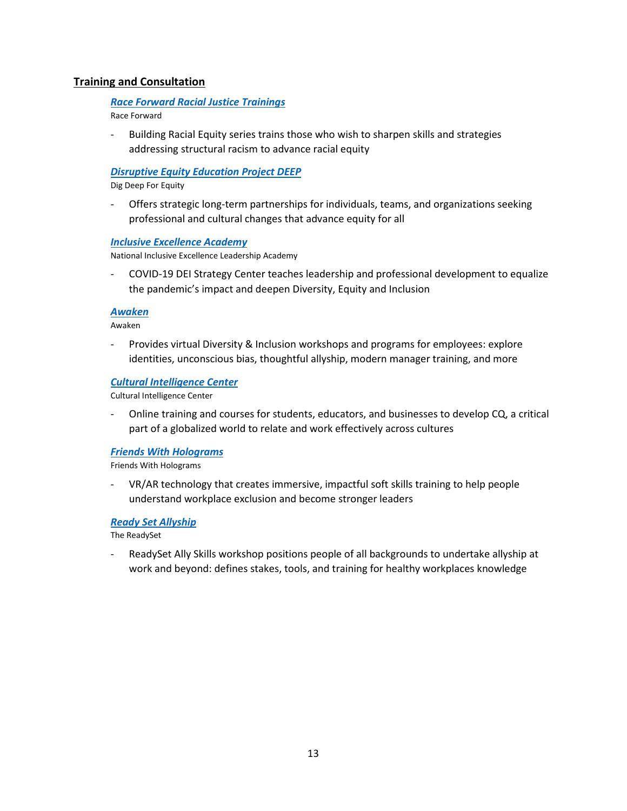# **Training and Consultation**

## *[Race Forward Racial Justice Trainings](https://www.raceforward.org/trainings)*

Race Forward

- Building Racial Equity series trains those who wish to sharpen skills and strategies addressing structural racism to advance racial equity

## *[Disruptive Equity Education Project DEEP](https://digdeepforequity.org/)*

Dig Deep For Equity

- Offers strategic long-term partnerships for individuals, teams, and organizations seeking professional and cultural changes that advance equity for all

#### *[Inclusive Excellence Academy](https://inclusiveexcellenceacademy.org/deiandcovid19/)*

National Inclusive Excellence Leadership Academy

- COVID-19 DEI Strategy Center teaches leadership and professional development to equalize the pandemic's impact and deepen Diversity, Equity and Inclusion

#### *[Awaken](https://www.visionawaken.com/)*

Awaken

- Provides virtual Diversity & Inclusion workshops and programs for employees: explore identities, unconscious bias, thoughtful allyship, modern manager training, and more

#### *[Cultural Intelligence Center](https://culturalq.com/about-cultural-intelligence/)*

Cultural Intelligence Center

- Online training and courses for students, educators, and businesses to develop CQ, a critical part of a globalized world to relate and work effectively across cultures

#### *[Friends With Holograms](https://www.friendswithholograms.com/)*

Friends With Holograms

- VR/AR technology that creates immersive, impactful soft skills training to help people understand workplace exclusion and become stronger leaders

#### *[Ready Set Allyship](https://www.thereadyset.co/ally-skills-workshop)*

The ReadySet

<span id="page-12-0"></span>- ReadySet Ally Skills workshop positions people of all backgrounds to undertake allyship at work and beyond: defines stakes, tools, and training for healthy workplaces knowledge